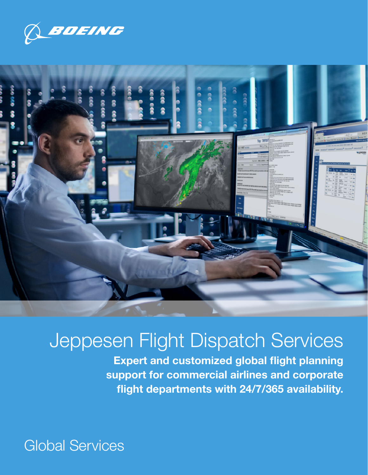



# Jeppesen Flight Dispatch Services

Expert and customized global flight planning support for commercial airlines and corporate flight departments with 24/7/365 availability.

Global Services